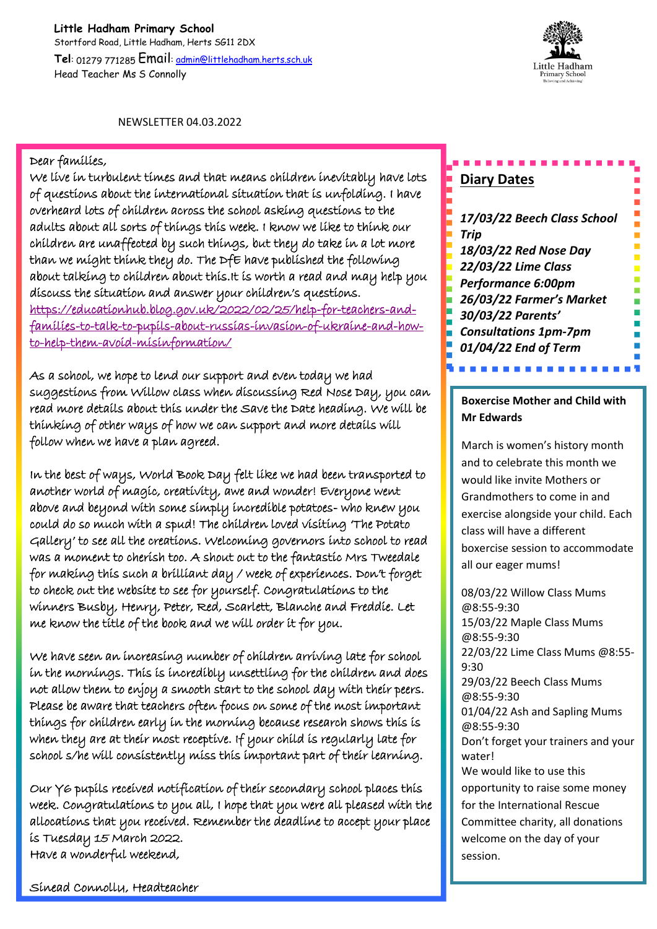**Little Hadham Primary School** Stortford Road, Little Hadham, Herts SG11 2DX **Tel**: 01279 771285 Email: admin@littlehadham.herts.sch.uk Head Teacher Ms S Connolly



NEWSLETTER 04.03.2022

#### Dear families,

We live in turbulent times and that means children inevitably have lots of questions about the international situation that is unfolding. I have overheard lots of children across the school asking questions to the adults about all sorts of things this week. I know we like to think our children are unaffected by such things, but they do take in a lot more than we might think they do. The DfE have published the following about talking to children about this.It is worth a read and may help you discuss the situation and answer your children's questions. https://educationhub.blog.gov.uk/2022/02/25/help-for-teachers-andfamilies-to-talk-to-pupils-about-russias-invasion-of-ukraine-and-howto-help-them-avoid-misinformation/

As a school, we hope to lend our support and even today we had suggestions from Willow class when discussing Red Nose Day, you can read more details about this under the Save the Date heading. We will be thinking of other ways of how we can support and more details will follow when we have a plan agreed.

In the best of ways, World Book Day felt like we had been transported to another world of magic, creativity, awe and wonder! Everyone went above and beyond with some simply incredible potatoes- who knew you could do so much with a spud! The children loved visiting 'The Potato Gallery' to see all the creations. Welcoming governors into school to read was a moment to cherish too. A shout out to the fantastic Mrs Tweedale for making this such a brilliant day / week of experiences. Don't forget to check out the website to see for yourself. Congratulations to the winners Busby, Henry, Peter, Red, Scarlett, Blanche and Freddie. Let me know the title of the book and we will order it for you.

We have seen an increasing number of children arriving late for school in the mornings. This is incredibly unsettling for the children and does not allow them to enjoy a smooth start to the school day with their peers. Please be aware that teachers often focus on some of the most important things for children early in the morning because research shows this is when they are at their most receptive. If your child is regularly late for school s/he will consistently miss this important part of their learning.

Our Y6 pupils received notification of their secondary school places this week. Congratulations to you all, I hope that you were all pleased with the allocations that you received. Remember the deadline to accept your place is Tuesday 15 March 2022. Have a wonderful weekend,

# **Diary Dates**

*17/03/22 Beech Class School Trip 18/03/22 Red Nose Day 22/03/22 Lime Class Performance 6:00pm 26/03/22 Farmer's Market 30/03/22 Parents' Consultations 1pm-7pm 01/04/22 End of Term* 

# **Boxercise Mother and Child with Mr Edwards**

*More to follow…*

March is women's history month and to celebrate this month we would like invite Mothers or Grandmothers to come in and exercise alongside your child. Each class will have a different boxercise session to accommodate all our eager mums!

08/03/22 Willow Class Mums @8:55-9:30 15/03/22 Maple Class Mums @8:55-9:30 22/03/22 Lime Class Mums @8:55- 9:30 29/03/22 Beech Class Mums @8:55-9:30 01/04/22 Ash and Sapling Mums @8:55-9:30 Don't forget your trainers and your water! We would like to use this opportunity to raise some money for the International Rescue Committee charity, all donations welcome on the day of your session.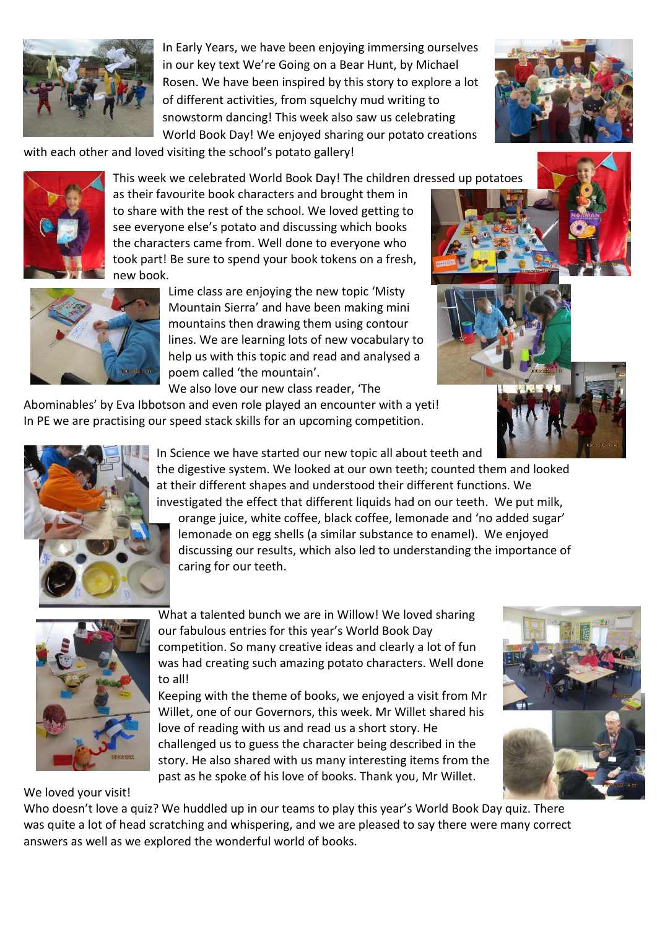

In Early Years, we have been enjoying immersing ourselves in our key text We're Going on a Bear Hunt, by Michael Rosen. We have been inspired by this story to explore a lot of different activities, from squelchy mud writing to snowstorm dancing! This week also saw us celebrating World Book Day! We enjoyed sharing our potato creations



with each other and loved visiting the school's potato gallery!



This week we celebrated World Book Day! The children dressed up potatoes as their favourite book characters and brought them in to share with the rest of the school. We loved getting to see everyone else's potato and discussing which books the characters came from. Well done to everyone who took part! Be sure to spend your book tokens on a fresh, new book.



Lime class are enjoying the new topic 'Misty Mountain Sierra' and have been making mini mountains then drawing them using contour lines. We are learning lots of new vocabulary to help us with this topic and read and analysed a poem called 'the mountain'.

We also love our new class reader, 'The

Abominables' by Eva Ibbotson and even role played an encounter with a yeti! In PE we are practising our speed stack skills for an upcoming competition.







In Science we have started our new topic all about teeth and

the digestive system. We looked at our own teeth; counted them and looked at their different shapes and understood their different functions. We investigated the effect that different liquids had on our teeth. We put milk,

orange juice, white coffee, black coffee, lemonade and 'no added sugar' lemonade on egg shells (a similar substance to enamel). We enjoyed discussing our results, which also led to understanding the importance of caring for our teeth.



What a talented bunch we are in Willow! We loved sharing our fabulous entries for this year's World Book Day competition. So many creative ideas and clearly a lot of fun was had creating such amazing potato characters. Well done to all!

Keeping with the theme of books, we enjoyed a visit from Mr Willet, one of our Governors, this week. Mr Willet shared his love of reading with us and read us a short story. He challenged us to guess the character being described in the story. He also shared with us many interesting items from the past as he spoke of his love of books. Thank you, Mr Willet.



We loved your visit!

Who doesn't love a quiz? We huddled up in our teams to play this year's World Book Day quiz. There was quite a lot of head scratching and whispering, and we are pleased to say there were many correct answers as well as we explored the wonderful world of books.